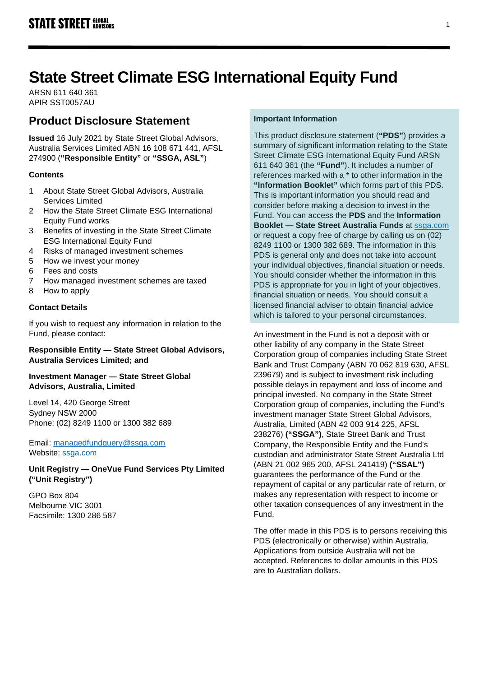# **State Street Climate ESG International Equity Fund**

ARSN 611 640 361 APIR SST0057AU

# **Product Disclosure Statement**

**Issued** 16 July 2021 by State Street Global Advisors, Australia Services Limited ABN 16 108 671 441, AFSL 274900 (**"Responsible Entity"** or **"SSGA, ASL"**)

### **Contents**

- 1 About State Street Global Advisors, Australia Services Limited
- 2 How the State Street Climate ESG International Equity Fund works
- 3 Benefits of investing in the State Street Climate ESG International Equity Fund
- 4 Risks of managed investment schemes
- 5 How we invest your money
- 6 Fees and costs
- 7 How managed investment schemes are taxed
- 8 How to apply

### **Contact Details**

If you wish to request any information in relation to the Fund, please contact:

### **Responsible Entity — State Street Global Advisors, Australia Services Limited; and**

### **Investment Manager — State Street Global Advisors, Australia, Limited**

Level 14, 420 George Street Sydney NSW 2000 Phone: (02) 8249 1100 or 1300 382 689

Email: [managedfundquery@ssga.com](file://sydganas1/shared/RE/PDS/2018/Q4%20updates/managedfundquery@ssga.com) Website: [ssga.com](http://www.ssga.com/)

### **Unit Registry — OneVue Fund Services Pty Limited ("Unit Registry")**

GPO Box 804 Melbourne VIC 3001 Facsimile: 1300 286 587

### **Important Information**

This product disclosure statement (**"PDS"**) provides a summary of significant information relating to the State Street Climate ESG International Equity Fund ARSN 611 640 361 (the **"Fund"**). It includes a number of references marked with a \* to other information in the **"Information Booklet"** which forms part of this PDS. This is important information you should read and consider before making a decision to invest in the Fund. You can access the **PDS** and the **Information Booklet — State Street Australia Funds** at [ssga.com](https://www.ssga.com/) or request a copy free of charge by calling us on (02) 8249 1100 or 1300 382 689. The information in this PDS is general only and does not take into account your individual objectives, financial situation or needs. You should consider whether the information in this PDS is appropriate for you in light of your objectives, financial situation or needs. You should consult a licensed financial adviser to obtain financial advice which is tailored to your personal circumstances.

An investment in the Fund is not a deposit with or other liability of any company in the State Street Corporation group of companies including State Street Bank and Trust Company (ABN 70 062 819 630, AFSL 239679) and is subject to investment risk including possible delays in repayment and loss of income and principal invested. No company in the State Street Corporation group of companies, including the Fund's investment manager State Street Global Advisors, Australia, Limited (ABN 42 003 914 225, AFSL 238276) **("SSGA")**, State Street Bank and Trust Company, the Responsible Entity and the Fund's custodian and administrator State Street Australia Ltd (ABN 21 002 965 200, AFSL 241419) **("SSAL")** guarantees the performance of the Fund or the repayment of capital or any particular rate of return, or makes any representation with respect to income or other taxation consequences of any investment in the Fund.

The offer made in this PDS is to persons receiving this PDS (electronically or otherwise) within Australia. Applications from outside Australia will not be accepted. References to dollar amounts in this PDS are to Australian dollars.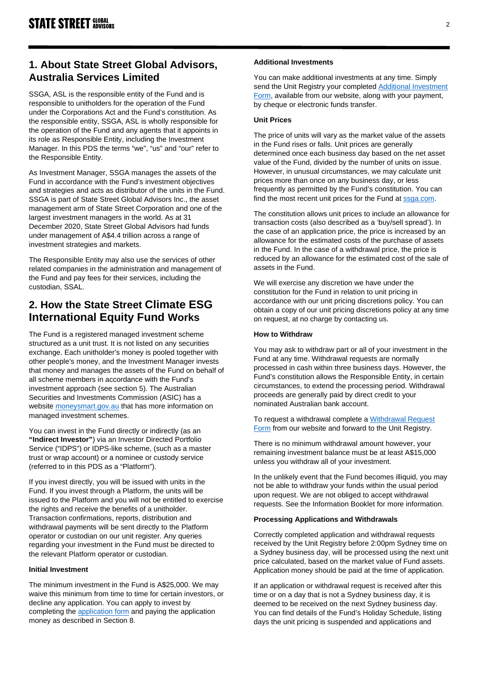# **1. About State Street Global Advisors, Australia Services Limited**

SSGA, ASL is the responsible entity of the Fund and is responsible to unitholders for the operation of the Fund under the Corporations Act and the Fund's constitution. As the responsible entity, SSGA, ASL is wholly responsible for the operation of the Fund and any agents that it appoints in its role as Responsible Entity, including the Investment Manager. In this PDS the terms "we", "us" and "our" refer to the Responsible Entity.

As Investment Manager, SSGA manages the assets of the Fund in accordance with the Fund's investment objectives and strategies and acts as distributor of the units in the Fund. SSGA is part of State Street Global Advisors Inc., the asset management arm of State Street Corporation and one of the largest investment managers in the world. As at 31 December 2020, State Street Global Advisors had funds under management of A\$4.4 trillion across a range of investment strategies and markets.

The Responsible Entity may also use the services of other related companies in the administration and management of the Fund and pay fees for their services, including the custodian, SSAL.

# **2. How the State Street Climate ESG International Equity Fund Works**

The Fund is a registered managed investment scheme structured as a unit trust. It is not listed on any securities exchange. Each unitholder's money is pooled together with other people's money, and the Investment Manager invests that money and manages the assets of the Fund on behalf of all scheme members in accordance with the Fund's investment approach (see section 5). The Australian Securities and Investments Commission (ASIC) has a website [moneysmart.gov.au](http://www.moneysmart.gov.au/) that has more information on managed investment schemes.

You can invest in the Fund directly or indirectly (as an **"Indirect Investor"**) via an Investor Directed Portfolio Service ("IDPS") or IDPS-like scheme, (such as a master trust or wrap account) or a nominee or custody service (referred to in this PDS as a "Platform").

If you invest directly, you will be issued with units in the Fund. If you invest through a Platform, the units will be issued to the Platform and you will not be entitled to exercise the rights and receive the benefits of a unitholder. Transaction confirmations, reports, distribution and withdrawal payments will be sent directly to the Platform operator or custodian on our unit register. Any queries regarding your investment in the Fund must be directed to the relevant Platform operator or custodian.

#### **Initial Investment**

The minimum investment in the Fund is A\$25,000. We may waive this minimum from time to time for certain investors, or decline any application. You can apply to invest by completing the [application form](https://www.ssga.com/apac/au/institutional-investors/en/legal/legal---fund-documents.html) and paying the application money as described in Section 8.

#### **Additional Investments**

You can make additional investments at any time. Simply send the Unit Registry your completed Additional Investment [Form,](https://www.ssga.com/apac/au/institutional-investors/en/legal/legal---fund-documents.html) available from our website, along with your payment, by cheque or electronic funds transfer.

#### **Unit Prices**

The price of units will vary as the market value of the assets in the Fund rises or falls. Unit prices are generally determined once each business day based on the net asset value of the Fund, divided by the number of units on issue. However, in unusual circumstances, we may calculate unit prices more than once on any business day, or less frequently as permitted by the Fund's constitution. You can find the most recent unit prices for the Fund at [ssga.com.](https://www.ssga.com/)

The constitution allows unit prices to include an allowance for transaction costs (also described as a 'buy/sell spread'). In the case of an application price, the price is increased by an allowance for the estimated costs of the purchase of assets in the Fund. In the case of a withdrawal price, the price is reduced by an allowance for the estimated cost of the sale of assets in the Fund.

We will exercise any discretion we have under the constitution for the Fund in relation to unit pricing in accordance with our unit pricing discretions policy. You can obtain a copy of our unit pricing discretions policy at any time on request, at no charge by contacting us.

#### **How to Withdraw**

You may ask to withdraw part or all of your investment in the Fund at any time. Withdrawal requests are normally processed in cash within three business days. However, the Fund's constitution allows the Responsible Entity, in certain circumstances, to extend the processing period. Withdrawal proceeds are generally paid by direct credit to your nominated Australian bank account.

To request a withdrawal complete a [Withdrawal Request](https://www.ssga.com/apac/au/institutional-investors/en/legal/legal---fund-documents.html)  [Form](https://www.ssga.com/apac/au/institutional-investors/en/legal/legal---fund-documents.html) from our website and forward to the Unit Registry.

There is no minimum withdrawal amount however, your remaining investment balance must be at least A\$15,000 unless you withdraw all of your investment.

In the unlikely event that the Fund becomes illiquid, you may not be able to withdraw your funds within the usual period upon request. We are not obliged to accept withdrawal requests. See the Information Booklet for more information.

#### **Processing Applications and Withdrawals**

Correctly completed application and withdrawal requests received by the Unit Registry before 2:00pm Sydney time on a Sydney business day, will be processed using the next unit price calculated, based on the market value of Fund assets. Application money should be paid at the time of application.

If an application or withdrawal request is received after this time or on a day that is not a Sydney business day, it is deemed to be received on the next Sydney business day. You can find details of the Fund's Holiday Schedule, listing days the unit pricing is suspended and applications and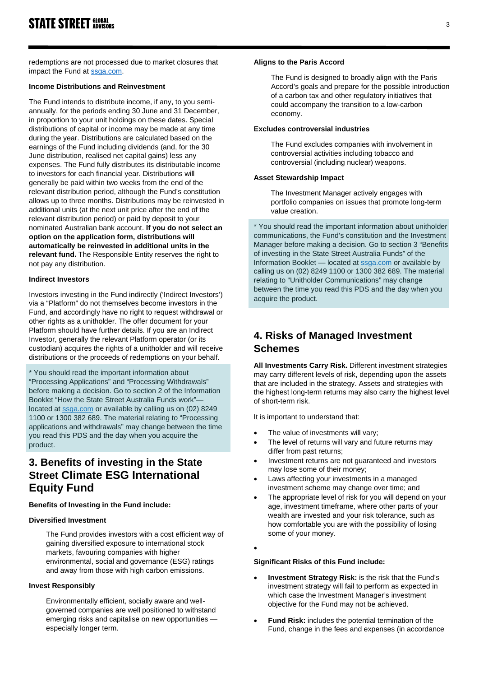redemptions are not processed due to market closures that impact the Fund at [ssga.com.](https://www.ssga.com/)

#### **Income Distributions and Reinvestment**

The Fund intends to distribute income, if any, to you semiannually, for the periods ending 30 June and 31 December, in proportion to your unit holdings on these dates. Special distributions of capital or income may be made at any time during the year. Distributions are calculated based on the earnings of the Fund including dividends (and, for the 30 June distribution, realised net capital gains) less any expenses. The Fund fully distributes its distributable income to investors for each financial year. Distributions will generally be paid within two weeks from the end of the relevant distribution period, although the Fund's constitution allows up to three months. Distributions may be reinvested in additional units (at the next unit price after the end of the relevant distribution period) or paid by deposit to your nominated Australian bank account. **If you do not select an option on the application form, distributions will automatically be reinvested in additional units in the relevant fund.** The Responsible Entity reserves the right to not pay any distribution.

#### **Indirect Investors**

Investors investing in the Fund indirectly ('Indirect Investors') via a "Platform" do not themselves become investors in the Fund, and accordingly have no right to request withdrawal or other rights as a unitholder. The offer document for your Platform should have further details. If you are an Indirect Investor, generally the relevant Platform operator (or its custodian) acquires the rights of a unitholder and will receive distributions or the proceeds of redemptions on your behalf.

\* You should read the important information about "Processing Applications" and "Processing Withdrawals" before making a decision. Go to section 2 of the Information Booklet "How the State Street Australia Funds work" located a[t ssga.com](https://www.ssga.com/) or available by calling us on (02) 8249 1100 or 1300 382 689. The material relating to "Processing applications and withdrawals" may change between the time you read this PDS and the day when you acquire the product.

# **3. Benefits of investing in the State Street Climate ESG International Equity Fund**

#### **Benefits of Investing in the Fund include:**

#### **Diversified Investment**

The Fund provides investors with a cost efficient way of gaining diversified exposure to international stock markets, favouring companies with higher environmental, social and governance (ESG) ratings and away from those with high carbon emissions.

#### **Invest Responsibly**

Environmentally efficient, socially aware and wellgoverned companies are well positioned to withstand emerging risks and capitalise on new opportunities especially longer term.

#### **Aligns to the Paris Accord**

The Fund is designed to broadly align with the Paris Accord's goals and prepare for the possible introduction of a carbon tax and other regulatory initiatives that could accompany the transition to a low-carbon economy.

#### **Excludes controversial industries**

The Fund excludes companies with involvement in controversial activities including tobacco and controversial (including nuclear) weapons.

#### **Asset Stewardship Impact**

The Investment Manager actively engages with portfolio companies on issues that promote long-term value creation.

\* You should read the important information about unitholder communications, the Fund's constitution and the Investment Manager before making a decision. Go to section 3 "Benefits of investing in the State Street Australia Funds" of the Information Booklet — located at [ssga.com](https://www.ssga.com/) or available by calling us on (02) 8249 1100 or 1300 382 689. The material relating to "Unitholder Communications" may change between the time you read this PDS and the day when you acquire the product.

## **4. Risks of Managed Investment Schemes**

**All Investments Carry Risk.** Different investment strategies may carry different levels of risk, depending upon the assets that are included in the strategy. Assets and strategies with the highest long-term returns may also carry the highest level of short-term risk.

It is important to understand that:

- The value of investments will vary;
- The level of returns will vary and future returns may differ from past returns;
- Investment returns are not guaranteed and investors may lose some of their money;
- Laws affecting your investments in a managed investment scheme may change over time; and
- The appropriate level of risk for you will depend on your age, investment timeframe, where other parts of your wealth are invested and your risk tolerance, such as how comfortable you are with the possibility of losing some of your money.
- •

#### **Significant Risks of this Fund include:**

- **Investment Strategy Risk:** is the risk that the Fund's investment strategy will fail to perform as expected in which case the Investment Manager's investment objective for the Fund may not be achieved.
- **Fund Risk:** includes the potential termination of the Fund, change in the fees and expenses (in accordance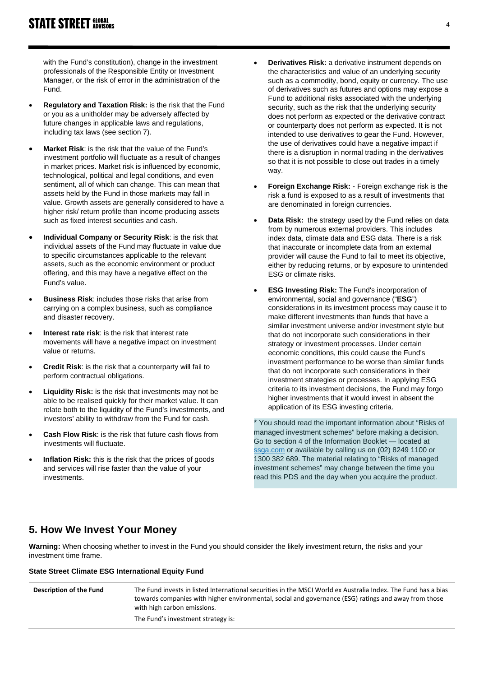with the Fund's constitution), change in the investment professionals of the Responsible Entity or Investment Manager, or the risk of error in the administration of the Fund.

- **Regulatory and Taxation Risk:** is the risk that the Fund or you as a unitholder may be adversely affected by future changes in applicable laws and regulations, including tax laws (see section 7).
- **Market Risk:** is the risk that the value of the Fund's investment portfolio will fluctuate as a result of changes in market prices. Market risk is influenced by economic, technological, political and legal conditions, and even sentiment, all of which can change. This can mean that assets held by the Fund in those markets may fall in value. Growth assets are generally considered to have a higher risk/ return profile than income producing assets such as fixed interest securities and cash.
- **Individual Company or Security Risk**: is the risk that individual assets of the Fund may fluctuate in value due to specific circumstances applicable to the relevant assets, such as the economic environment or product offering, and this may have a negative effect on the Fund's value.
- **Business Risk**: includes those risks that arise from carrying on a complex business, such as compliance and disaster recovery.
- **Interest rate risk**: is the risk that interest rate movements will have a negative impact on investment value or returns.
- **Credit Risk**: is the risk that a counterparty will fail to perform contractual obligations.
- **Liquidity Risk:** is the risk that investments may not be able to be realised quickly for their market value. It can relate both to the liquidity of the Fund's investments, and investors' ability to withdraw from the Fund for cash.
- **Cash Flow Risk**: is the risk that future cash flows from investments will fluctuate.
- **Inflation Risk:** this is the risk that the prices of goods and services will rise faster than the value of your investments.
- **Derivatives Risk:** a derivative instrument depends on the characteristics and value of an underlying security such as a commodity, bond, equity or currency. The use of derivatives such as futures and options may expose a Fund to additional risks associated with the underlying security, such as the risk that the underlying security does not perform as expected or the derivative contract or counterparty does not perform as expected. It is not intended to use derivatives to gear the Fund. However, the use of derivatives could have a negative impact if there is a disruption in normal trading in the derivatives so that it is not possible to close out trades in a timely way.
- **Foreign Exchange Risk:** Foreign exchange risk is the risk a fund is exposed to as a result of investments that are denominated in foreign currencies.
- **Data Risk:** the strategy used by the Fund relies on data from by numerous external providers. This includes index data, climate data and ESG data. There is a risk that inaccurate or incomplete data from an external provider will cause the Fund to fail to meet its objective, either by reducing returns, or by exposure to unintended ESG or climate risks.
- **ESG Investing Risk:** The Fund's incorporation of environmental, social and governance ("**ESG**") considerations in its investment process may cause it to make different investments than funds that have a similar investment universe and/or investment style but that do not incorporate such considerations in their strategy or investment processes. Under certain economic conditions, this could cause the Fund's investment performance to be worse than similar funds that do not incorporate such considerations in their investment strategies or processes. In applying ESG criteria to its investment decisions, the Fund may forgo higher investments that it would invest in absent the application of its ESG investing criteria.

\* You should read the important information about "Risks of managed investment schemes" before making a decision. Go to section 4 of the Information Booklet — located at [ssga.com](https://www.ssga.com/) or available by calling us on (02) 8249 1100 or 1300 382 689. The material relating to "Risks of managed investment schemes" may change between the time you read this PDS and the day when you acquire the product.

# **5. How We Invest Your Money**

**Warning:** When choosing whether to invest in the Fund you should consider the likely investment return, the risks and your investment time frame.

#### **State Street Climate ESG International Equity Fund**

| Description of the Fund | The Fund invests in listed International securities in the MSCI World ex Australia Index. The Fund has a bias<br>towards companies with higher environmental, social and governance (ESG) ratings and away from those<br>with high carbon emissions. |
|-------------------------|------------------------------------------------------------------------------------------------------------------------------------------------------------------------------------------------------------------------------------------------------|
|                         | The Fund's investment strategy is:                                                                                                                                                                                                                   |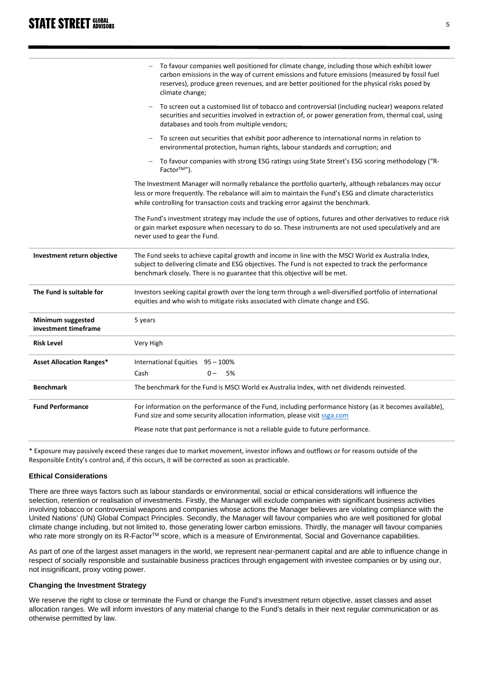|                                           | To favour companies well positioned for climate change, including those which exhibit lower<br>carbon emissions in the way of current emissions and future emissions (measured by fossil fuel<br>reserves), produce green revenues, and are better positioned for the physical risks posed by<br>climate change; |  |  |
|-------------------------------------------|------------------------------------------------------------------------------------------------------------------------------------------------------------------------------------------------------------------------------------------------------------------------------------------------------------------|--|--|
|                                           | To screen out a customised list of tobacco and controversial (including nuclear) weapons related<br>securities and securities involved in extraction of, or power generation from, thermal coal, using<br>databases and tools from multiple vendors;                                                             |  |  |
|                                           | To screen out securities that exhibit poor adherence to international norms in relation to<br>environmental protection, human rights, labour standards and corruption; and                                                                                                                                       |  |  |
|                                           | To favour companies with strong ESG ratings using State Street's ESG scoring methodology ("R-<br>$\qquad \qquad -$<br>Factor <sup>™</sup> ").                                                                                                                                                                    |  |  |
|                                           | The Investment Manager will normally rebalance the portfolio quarterly, although rebalances may occur<br>less or more frequently. The rebalance will aim to maintain the Fund's ESG and climate characteristics<br>while controlling for transaction costs and tracking error against the benchmark.             |  |  |
|                                           | The Fund's investment strategy may include the use of options, futures and other derivatives to reduce risk<br>or gain market exposure when necessary to do so. These instruments are not used speculatively and are<br>never used to gear the Fund.                                                             |  |  |
| Investment return objective               | The Fund seeks to achieve capital growth and income in line with the MSCI World ex Australia Index,<br>subject to delivering climate and ESG objectives. The Fund is not expected to track the performance<br>benchmark closely. There is no guarantee that this objective will be met.                          |  |  |
| The Fund is suitable for                  | Investors seeking capital growth over the long term through a well-diversified portfolio of international<br>equities and who wish to mitigate risks associated with climate change and ESG.                                                                                                                     |  |  |
| Minimum suggested<br>investment timeframe | 5 years                                                                                                                                                                                                                                                                                                          |  |  |
| <b>Risk Level</b>                         | Very High                                                                                                                                                                                                                                                                                                        |  |  |
| <b>Asset Allocation Ranges*</b>           | International Equities 95 - 100%                                                                                                                                                                                                                                                                                 |  |  |
|                                           | Cash<br>$0 -$<br>5%                                                                                                                                                                                                                                                                                              |  |  |
| <b>Benchmark</b>                          | The benchmark for the Fund is MSCI World ex Australia Index, with net dividends reinvested.                                                                                                                                                                                                                      |  |  |
| <b>Fund Performance</b>                   | For information on the performance of the Fund, including performance history (as it becomes available),<br>Fund size and some security allocation information, please visit ssga.com                                                                                                                            |  |  |
|                                           | Please note that past performance is not a reliable guide to future performance.                                                                                                                                                                                                                                 |  |  |

\* Exposure may passively exceed these ranges due to market movement, investor inflows and outflows or for reasons outside of the Responsible Entity's control and, if this occurs, it will be corrected as soon as practicable.

#### **Ethical Considerations**

There are three ways factors such as labour standards or environmental, social or ethical considerations will influence the selection, retention or realisation of investments. Firstly, the Manager will exclude companies with significant business activities involving tobacco or controversial weapons and companies whose actions the Manager believes are violating compliance with the United Nations' (UN) Global Compact Principles. Secondly, the Manager will favour companies who are well positioned for global climate change including, but not limited to, those generating lower carbon emissions. Thirdly, the manager will favour companies who rate more strongly on its R-Factor™ score, which is a measure of Environmental, Social and Governance capabilities.

As part of one of the largest asset managers in the world, we represent near-permanent capital and are able to influence change in respect of socially responsible and sustainable business practices through engagement with investee companies or by using our, not insignificant, proxy voting power.

#### **Changing the Investment Strategy**

We reserve the right to close or terminate the Fund or change the Fund's investment return objective, asset classes and asset allocation ranges. We will inform investors of any material change to the Fund's details in their next regular communication or as otherwise permitted by law.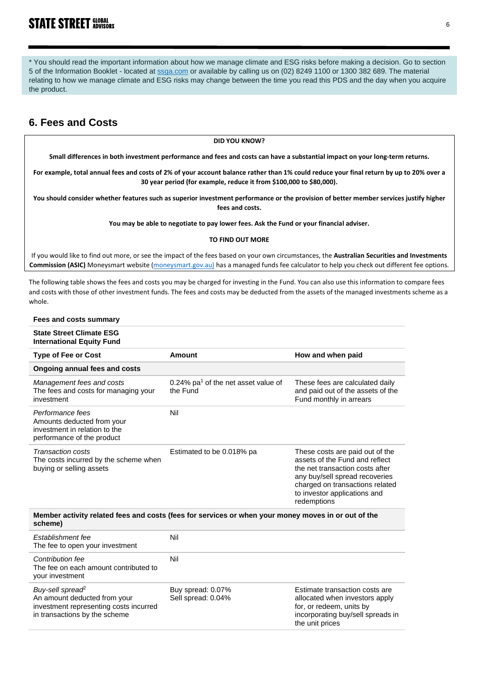\* You should read the important information about how we manage climate and ESG risks before making a decision. Go to section 5 of the Information Booklet - located a[t ssga.com](http://www.ssga.com/) or available by calling us on (02) 8249 1100 or 1300 382 689. The material relating to how we manage climate and ESG risks may change between the time you read this PDS and the day when you acquire the product.

# **6. Fees and Costs**

**DID YOU KNOW?**

**Small differences in both investment performance and fees and costs can have a substantial impact on your long-term returns.**

**For example, total annual fees and costs of 2% of your account balance rather than 1% could reduce your final return by up to 20% over a 30 year period (for example, reduce it from \$100,000 to \$80,000).**

**You should consider whether features such as superior investment performance or the provision of better member services justify higher fees and costs.** 

**You may be able to negotiate to pay lower fees. Ask the Fund or your financial adviser.**

**TO FIND OUT MORE**

If you would like to find out more, or see the impact of the fees based on your own circumstances, the **Australian Securities and Investments Commission (ASIC)** Moneysmart website [\(moneysmart.gov.au\)](http://www.moneysmart.gov.au/) has a managed funds fee calculator to help you check out different fee options.

The following table shows the fees and costs you may be charged for investing in the Fund. You can also use this information to compare fees and costs with those of other investment funds. The fees and costs may be deducted from the assets of the managed investments scheme as a whole.

#### **Fees and costs summary**

| <b>State Street Climate ESG</b><br><b>International Equity Fund</b>                                            |                                                   |                                                                                                                                                                                                                          |  |  |
|----------------------------------------------------------------------------------------------------------------|---------------------------------------------------|--------------------------------------------------------------------------------------------------------------------------------------------------------------------------------------------------------------------------|--|--|
| <b>Type of Fee or Cost</b>                                                                                     | Amount                                            | How and when paid                                                                                                                                                                                                        |  |  |
| <b>Ongoing annual fees and costs</b>                                                                           |                                                   |                                                                                                                                                                                                                          |  |  |
| Management fees and costs<br>The fees and costs for managing your<br>investment                                | 0.24% $pa1$ of the net asset value of<br>the Fund | These fees are calculated daily<br>and paid out of the assets of the<br>Fund monthly in arrears                                                                                                                          |  |  |
| Performance fees<br>Amounts deducted from your<br>investment in relation to the<br>performance of the product  | Nil                                               |                                                                                                                                                                                                                          |  |  |
| <b>Transaction costs</b><br>The costs incurred by the scheme when<br>buying or selling assets                  | Estimated to be 0.018% pa                         | These costs are paid out of the<br>assets of the Fund and reflect<br>the net transaction costs after<br>any buy/sell spread recoveries<br>charged on transactions related<br>to investor applications and<br>redemptions |  |  |
| Member activity related fees and costs (fees for services or when your money moves in or out of the<br>scheme) |                                                   |                                                                                                                                                                                                                          |  |  |
| Establishment fee<br>The fee to open your investment                                                           | Nil                                               |                                                                                                                                                                                                                          |  |  |
| Contribution fee<br>The fee on each amount contributed to<br>your investment                                   | Nil                                               |                                                                                                                                                                                                                          |  |  |
| Buy-sell spread <sup>2</sup>                                                                                   | Buy spread: 0.07%                                 | Estimate transaction costs are                                                                                                                                                                                           |  |  |

An amount deducted from your investment representing costs incurred in transactions by the scheme Sell spread: 0.04% allocated when investors apply for, or redeem, units by incorporating buy/sell spreads in the unit prices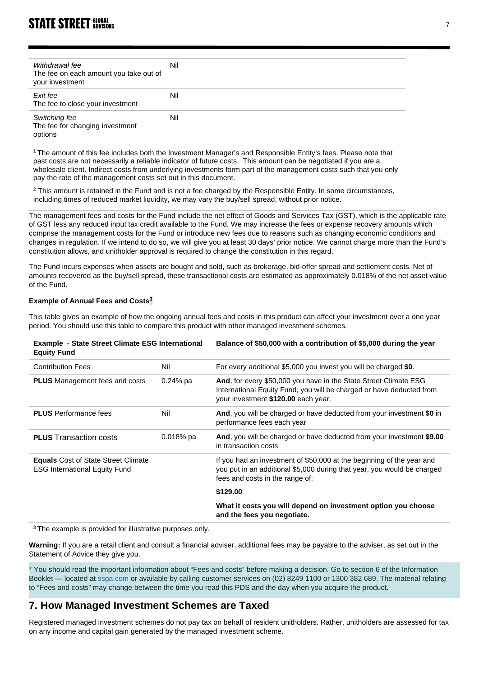| Withdrawal fee<br>The fee on each amount you take out of<br>your investment | Nil |
|-----------------------------------------------------------------------------|-----|
| Exit fee<br>The fee to close your investment                                | Nil |
| Switching fee<br>The fee for changing investment<br>options                 | Nil |

1 The amount of this fee includes both the Investment Manager's and Responsible Entity's fees. Please note that past costs are not necessarily a reliable indicator of future costs. This amount can be negotiated if you are a wholesale client. Indirect costs from underlying investments form part of the management costs such that you only pay the rate of the management costs set out in this document.

<sup>2</sup> This amount is retained in the Fund and is not a fee charged by the Responsible Entity. In some circumstances, including times of reduced market liquidity, we may vary the buy/sell spread, without prior notice.

The management fees and costs for the Fund include the net effect of Goods and Services Tax (GST), which is the applicable rate of GST less any reduced input tax credit available to the Fund. We may increase the fees or expense recovery amounts which comprise the management costs for the Fund or introduce new fees due to reasons such as changing economic conditions and changes in regulation. If we intend to do so, we will give you at least 30 days' prior notice. We cannot charge more than the Fund's constitution allows, and unitholder approval is required to change the constitution in this regard.

The Fund incurs expenses when assets are bought and sold, such as brokerage, bid-offer spread and settlement costs. Net of amounts recovered as the buy/sell spread, these transactional costs are estimated as approximately 0.018% of the net asset value of the Fund.

### **Example of Annual Fees and Costs<sup>3</sup>**

This table gives an example of how the ongoing annual fees and costs in this product can affect your investment over a one year period. You should use this table to compare this product with other managed investment schemes.

| <b>Example - State Street Climate ESG International</b> | Balance of \$50,000 with a contribution of \$5,000 during the year |
|---------------------------------------------------------|--------------------------------------------------------------------|
| <b>Equity Fund</b>                                      |                                                                    |
|                                                         |                                                                    |

| <b>Contribution Fees</b>                                                           | Nil         | For every additional \$5,000 you invest you will be charged \$0.                                                                                                                    |
|------------------------------------------------------------------------------------|-------------|-------------------------------------------------------------------------------------------------------------------------------------------------------------------------------------|
| <b>PLUS</b> Management fees and costs                                              | $0.24\%$ pa | And, for every \$50,000 you have in the State Street Climate ESG<br>International Equity Fund, you will be charged or have deducted from<br>your investment \$120.00 each year.     |
| <b>PLUS</b> Performance fees                                                       | Nil         | And, you will be charged or have deducted from your investment \$0 in<br>performance fees each year                                                                                 |
| <b>PLUS</b> Transaction costs                                                      | $0.018%$ pa | And, you will be charged or have deducted from your investment \$9.00<br>in transaction costs                                                                                       |
| <b>Equals</b> Cost of State Street Climate<br><b>ESG International Equity Fund</b> |             | If you had an investment of \$50,000 at the beginning of the year and<br>you put in an additional \$5,000 during that year, you would be charged<br>fees and costs in the range of: |
|                                                                                    |             | \$129.00                                                                                                                                                                            |
|                                                                                    |             | What it costs you will depend on investment option you choose<br>and the fees you negotiate.                                                                                        |

<sup>3</sup> The example is provided for illustrative purposes only.

**Warning:** If you are a retail client and consult a financial adviser, additional fees may be payable to the adviser, as set out in the Statement of Advice they give you.

\* You should read the important information about "Fees and costs" before making a decision. Go to section 6 of the Information Booklet — located a[t ssga.com](https://www.ssga.com/) or available by calling customer services on (02) 8249 1100 or 1300 382 689. The material relating to "Fees and costs" may change between the time you read this PDS and the day when you acquire the product.

## **7. How Managed Investment Schemes are Taxed**

Registered managed investment schemes do not pay tax on behalf of resident unitholders. Rather, unitholders are assessed for tax on any income and capital gain generated by the managed investment scheme.